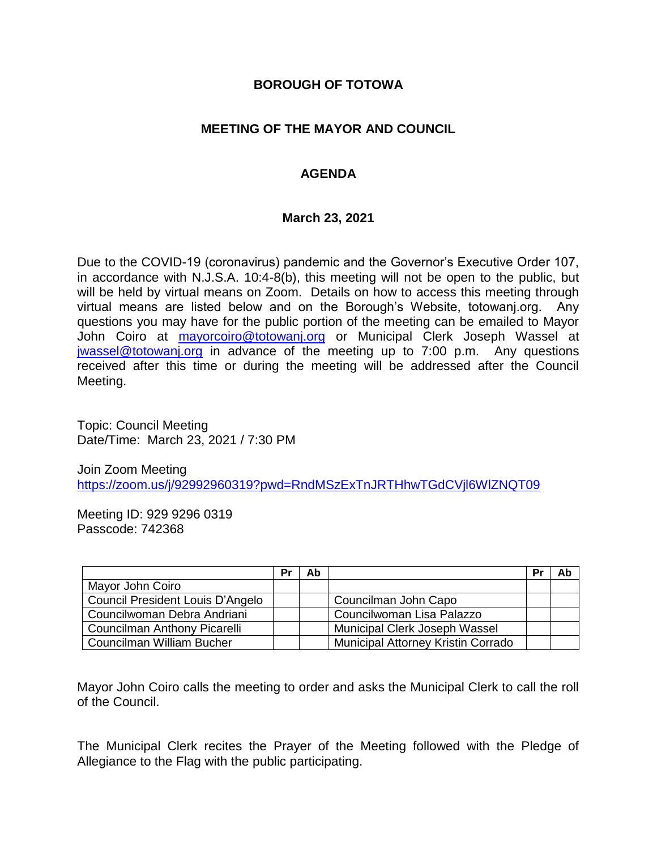### **BOROUGH OF TOTOWA**

# **MEETING OF THE MAYOR AND COUNCIL**

# **AGENDA**

#### **March 23, 2021**

Due to the COVID-19 (coronavirus) pandemic and the Governor's Executive Order 107, in accordance with N.J.S.A. 10:4-8(b), this meeting will not be open to the public, but will be held by virtual means on Zoom. Details on how to access this meeting through virtual means are listed below and on the Borough's Website, totowanj.org. Any questions you may have for the public portion of the meeting can be emailed to Mayor John Coiro at [mayorcoiro@totowanj.org](mailto:mayorcoiro@totowanj.org) or Municipal Clerk Joseph Wassel at [jwassel@totowanj.org](mailto:jwassel@totowanj.org) in advance of the meeting up to 7:00 p.m. Any questions received after this time or during the meeting will be addressed after the Council Meeting.

Topic: Council Meeting Date/Time: March 23, 2021 / 7:30 PM

Join Zoom Meeting <https://zoom.us/j/92992960319?pwd=RndMSzExTnJRTHhwTGdCVjl6WlZNQT09>

Meeting ID: 929 9296 0319 Passcode: 742368

|                                  | Pr | Ab |                                           | Pr | Ab |
|----------------------------------|----|----|-------------------------------------------|----|----|
| Mayor John Coiro                 |    |    |                                           |    |    |
| Council President Louis D'Angelo |    |    | Councilman John Capo                      |    |    |
| Councilwoman Debra Andriani      |    |    | Councilwoman Lisa Palazzo                 |    |    |
| Councilman Anthony Picarelli     |    |    | Municipal Clerk Joseph Wassel             |    |    |
| Councilman William Bucher        |    |    | <b>Municipal Attorney Kristin Corrado</b> |    |    |

Mayor John Coiro calls the meeting to order and asks the Municipal Clerk to call the roll of the Council.

The Municipal Clerk recites the Prayer of the Meeting followed with the Pledge of Allegiance to the Flag with the public participating.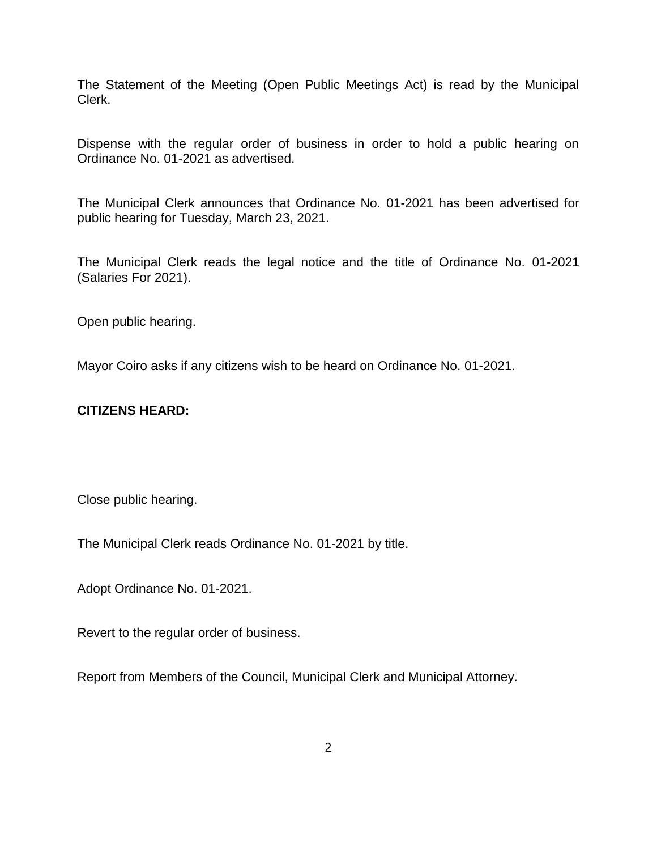The Statement of the Meeting (Open Public Meetings Act) is read by the Municipal Clerk.

Dispense with the regular order of business in order to hold a public hearing on Ordinance No. 01-2021 as advertised.

The Municipal Clerk announces that Ordinance No. 01-2021 has been advertised for public hearing for Tuesday, March 23, 2021.

The Municipal Clerk reads the legal notice and the title of Ordinance No. 01-2021 (Salaries For 2021).

Open public hearing.

Mayor Coiro asks if any citizens wish to be heard on Ordinance No. 01-2021.

#### **CITIZENS HEARD:**

Close public hearing.

The Municipal Clerk reads Ordinance No. 01-2021 by title.

Adopt Ordinance No. 01-2021.

Revert to the regular order of business.

Report from Members of the Council, Municipal Clerk and Municipal Attorney.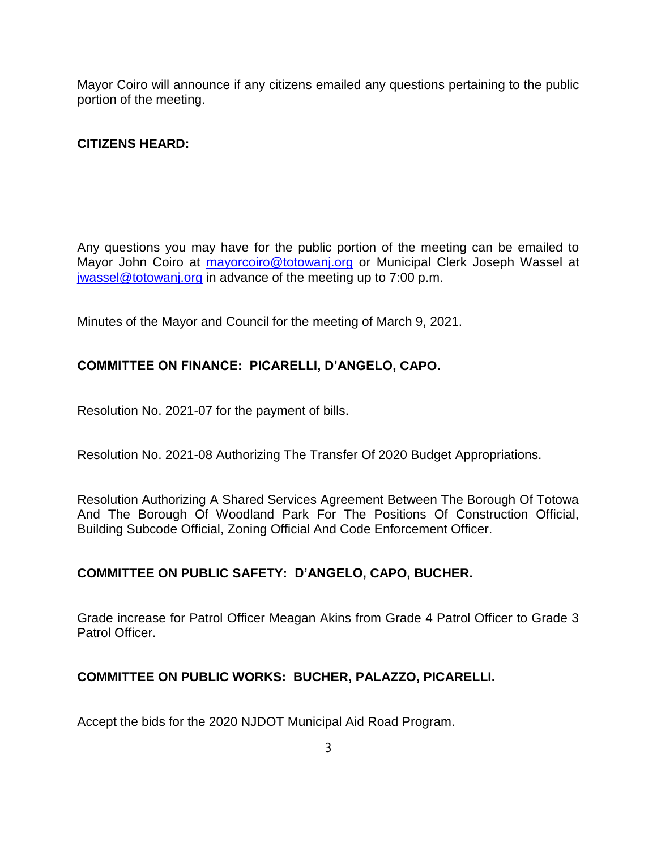Mayor Coiro will announce if any citizens emailed any questions pertaining to the public portion of the meeting.

# **CITIZENS HEARD:**

Any questions you may have for the public portion of the meeting can be emailed to Mayor John Coiro at [mayorcoiro@totowanj.org](mailto:mayorcoiro@totowanj.org) or Municipal Clerk Joseph Wassel at [jwassel@totowanj.org](mailto:jwassel@totowanj.org) in advance of the meeting up to 7:00 p.m.

Minutes of the Mayor and Council for the meeting of March 9, 2021.

# **COMMITTEE ON FINANCE: PICARELLI, D'ANGELO, CAPO.**

Resolution No. 2021-07 for the payment of bills.

Resolution No. 2021-08 Authorizing The Transfer Of 2020 Budget Appropriations.

Resolution Authorizing A Shared Services Agreement Between The Borough Of Totowa And The Borough Of Woodland Park For The Positions Of Construction Official, Building Subcode Official, Zoning Official And Code Enforcement Officer.

#### **COMMITTEE ON PUBLIC SAFETY: D'ANGELO, CAPO, BUCHER.**

Grade increase for Patrol Officer Meagan Akins from Grade 4 Patrol Officer to Grade 3 Patrol Officer.

#### **COMMITTEE ON PUBLIC WORKS: BUCHER, PALAZZO, PICARELLI.**

Accept the bids for the 2020 NJDOT Municipal Aid Road Program.